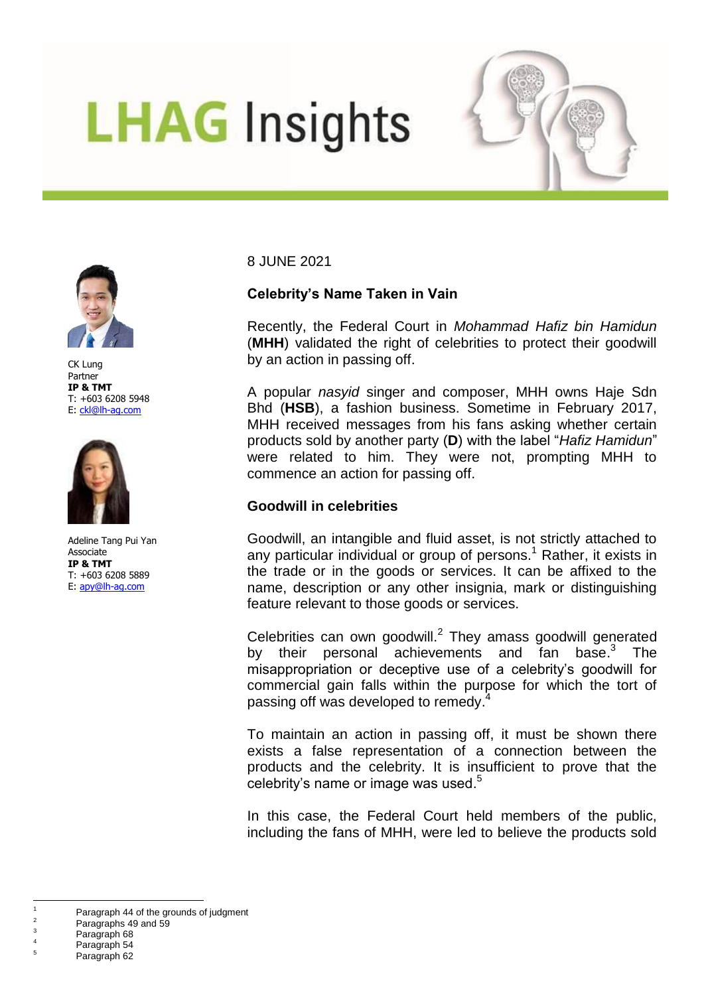# **LHAG** Insights





CK Lung Partner **IP & TMT** T: +603 6208 5948 E: [ckl@lh-ag.com](mailto:ckl@lh-ag.com)



Adeline Tang Pui Yan Associate **IP & TMT** T: +603 6208 5889 E: [apy@lh-ag.com](mailto:apy@lh-ag.com)

8 JUNE 2021

# **Celebrity's Name Taken in Vain**

Recently, the Federal Court in *Mohammad Hafiz bin Hamidun*  (**MHH**) validated the right of celebrities to protect their goodwill by an action in passing off.

A popular *nasyid* singer and composer, MHH owns Haje Sdn Bhd (**HSB**), a fashion business. Sometime in February 2017, MHH received messages from his fans asking whether certain products sold by another party (**D**) with the label "*Hafiz Hamidun*" were related to him. They were not, prompting MHH to commence an action for passing off.

# **Goodwill in celebrities**

Goodwill, an intangible and fluid asset, is not strictly attached to any particular individual or group of persons. <sup>1</sup> Rather, it exists in the trade or in the goods or services. It can be affixed to the name, description or any other insignia, mark or distinguishing feature relevant to those goods or services.

Celebrities can own goodwill.<sup>2</sup> They amass goodwill generated by their personal achievements and fan base.<sup>3</sup> The misappropriation or deceptive use of a celebrity's goodwill for commercial gain falls within the purpose for which the tort of passing off was developed to remedy.<sup>4</sup>

To maintain an action in passing off, it must be shown there exists a false representation of a connection between the products and the celebrity. It is insufficient to prove that the celebrity's name or image was used.<sup>5</sup>

In this case, the Federal Court held members of the public, including the fans of MHH, were led to believe the products sold

 $\overline{a}$  $\frac{1}{2}$  Paragraph 44 of the grounds of judgment

 $\frac{2}{3}$  Paragraphs 49 and 59

 $\frac{3}{4}$  Paragraph 68

 $^{4}$  Paragraph 54

Paragraph 62